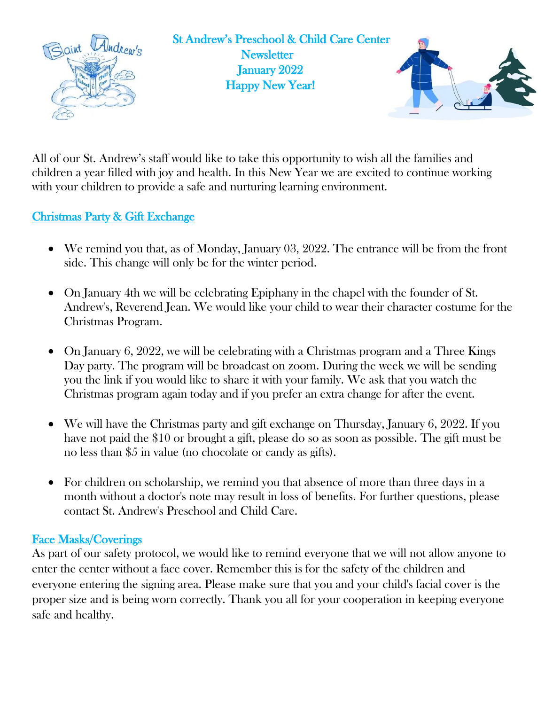

All of our St. Andrew's staff would like to take this opportunity to wish all the families and children a year filled with joy and health. In this New Year we are excited to continue working with your children to provide a safe and nurturing learning environment.

## Christmas Party & Gift Exchange

- We remind you that, as of Monday, January 03, 2022. The entrance will be from the front side. This change will only be for the winter period.
- On January 4th we will be celebrating Epiphany in the chapel with the founder of St. Andrew's, Reverend Jean. We would like your child to wear their character costume for the Christmas Program.
- On January 6, 2022, we will be celebrating with a Christmas program and a Three Kings Day party. The program will be broadcast on zoom. During the week we will be sending you the link if you would like to share it with your family. We ask that you watch the Christmas program again today and if you prefer an extra change for after the event.
- We will have the Christmas party and gift exchange on Thursday, January 6, 2022. If you have not paid the \$10 or brought a gift, please do so as soon as possible. The gift must be no less than \$5 in value (no chocolate or candy as gifts).
- For children on scholarship, we remind you that absence of more than three days in a month without a doctor's note may result in loss of benefits. For further questions, please contact St. Andrew's Preschool and Child Care.

## Face Masks/Coverings

As part of our safety protocol, we would like to remind everyone that we will not allow anyone to enter the center without a face cover. Remember this is for the safety of the children and everyone entering the signing area. Please make sure that you and your child's facial cover is the proper size and is being worn correctly. Thank you all for your cooperation in keeping everyone safe and healthy.